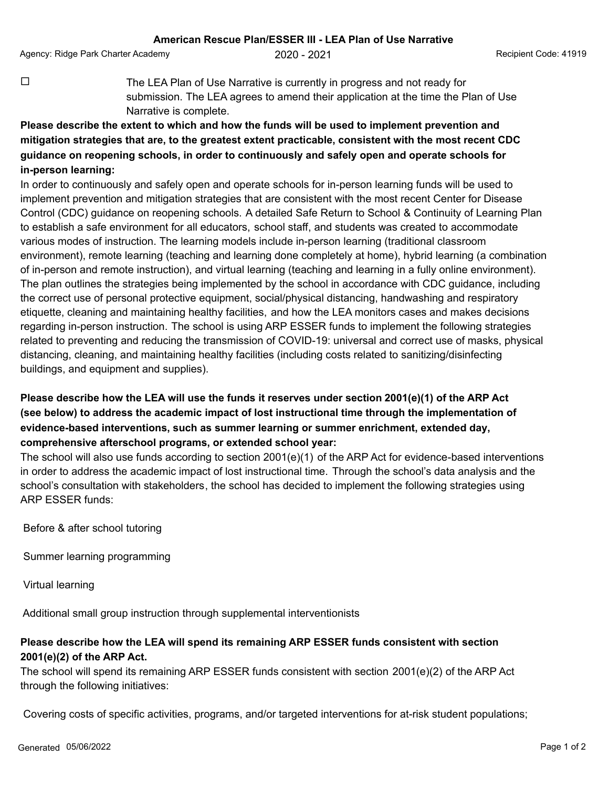Agency: Ridge Park Charter Academy  $2020 - 2021$   $2021$  Recipient Code: 41919

 $\Box$  The LEA Plan of Use Narrative is currently in progress and not ready for submission. The LEA agrees to amend their application at the time the Plan of Use Narrative is complete.

## **Please describe the extent to which and how the funds will be used to implement prevention and mitigation strategies that are, to the greatest extent practicable, consistent with the most recent CDC guidance on reopening schools, in order to continuously and safely open and operate schools for in-person learning:**

In order to continuously and safely open and operate schools for in-person learning funds will be used to implement prevention and mitigation strategies that are consistent with the most recent Center for Disease Control (CDC) guidance on reopening schools. A detailed Safe Return to School & Continuity of Learning Plan to establish a safe environment for all educators, school staff, and students was created to accommodate various modes of instruction. The learning models include in-person learning (traditional classroom environment), remote learning (teaching and learning done completely at home), hybrid learning (a combination of in-person and remote instruction), and virtual learning (teaching and learning in a fully online environment). The plan outlines the strategies being implemented by the school in accordance with CDC guidance, including the correct use of personal protective equipment, social/physical distancing, handwashing and respiratory etiquette, cleaning and maintaining healthy facilities, and how the LEA monitors cases and makes decisions regarding in-person instruction. The school is using ARP ESSER funds to implement the following strategies related to preventing and reducing the transmission of COVID-19: universal and correct use of masks, physical distancing, cleaning, and maintaining healthy facilities (including costs related to sanitizing/disinfecting buildings, and equipment and supplies).

## **Please describe how the LEA will use the funds it reserves under section 2001(e)(1) of the ARP Act (see below) to address the academic impact of lost instructional time through the implementation of evidence-based interventions, such as summer learning or summer enrichment, extended day, comprehensive afterschool programs, or extended school year:**

The school will also use funds according to section 2001(e)(1) of the ARP Act for evidence-based interventions in order to address the academic impact of lost instructional time. Through the school's data analysis and the school's consultation with stakeholders, the school has decided to implement the following strategies using ARP ESSER funds:

Before & after school tutoring

Summer learning programming

Virtual learning

Additional small group instruction through supplemental interventionists

## **Please describe how the LEA will spend its remaining ARP ESSER funds consistent with section 2001(e)(2) of the ARP Act.**

The school will spend its remaining ARP ESSER funds consistent with section 2001(e)(2) of the ARP Act through the following initiatives:

Covering costs of specific activities, programs, and/or targeted interventions for at-risk student populations;